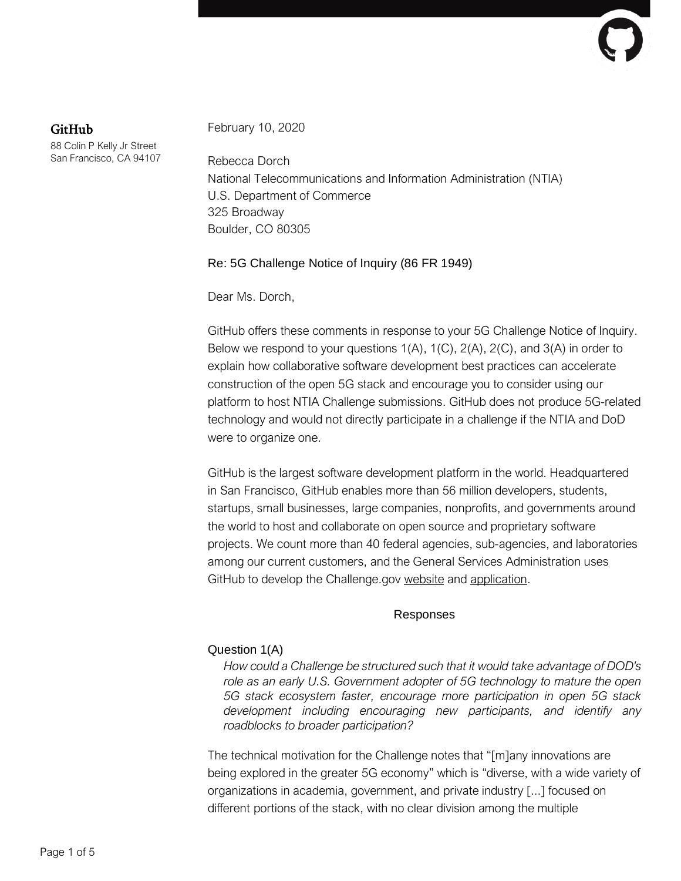# GitHub

88 Colin P Kelly Jr Street San Francisco, CA 94107 February 10, 2020

Rebecca Dorch National Telecommunications and Information Administration (NTIA) U.S. Department of Commerce 325 Broadway Boulder, CO 80305

## Re: 5G Challenge Notice of Inquiry (86 FR 1949)

Dear Ms. Dorch,

GitHub offers these comments in response to your 5G Challenge Notice of Inquiry. Below we respond to your questions  $1(A)$ ,  $1(C)$ ,  $2(A)$ ,  $2(C)$ , and  $3(A)$  in order to explain how collaborative software development best practices can accelerate construction of the open 5G stack and encourage you to consider using our platform to host NTIA Challenge submissions. GitHub does not produce 5G-related technology and would not directly participate in a challenge if the NTIA and DoD were to organize one.

GitHub is the largest software development platform in the world. Headquartered in San Francisco, GitHub enables more than 56 million developers, students, startups, small businesses, large companies, nonprofits, and governments around the world to host and collaborate on open source and proprietary software projects. We count more than 40 federal agencies, sub-agencies, and laboratories among our current customers, and the General Services Administration uses GitHub to develop the Challenge.gov [website](https://github.com/GSA/challenges-and-prizes) and [application.](https://github.com/GSA/Challenge_gov)

## Responses

## Question 1(A)

*How could a Challenge be structured such that it would take advantage of DOD's role as an early U.S. Government adopter of 5G technology to mature the open 5G stack ecosystem faster, encourage more participation in open 5G stack development including encouraging new participants, and identify any roadblocks to broader participation?*

The technical motivation for the Challenge notes that "[m]any innovations are being explored in the greater 5G economy" which is "diverse, with a wide variety of organizations in academia, government, and private industry [...] focused on different portions of the stack, with no clear division among the multiple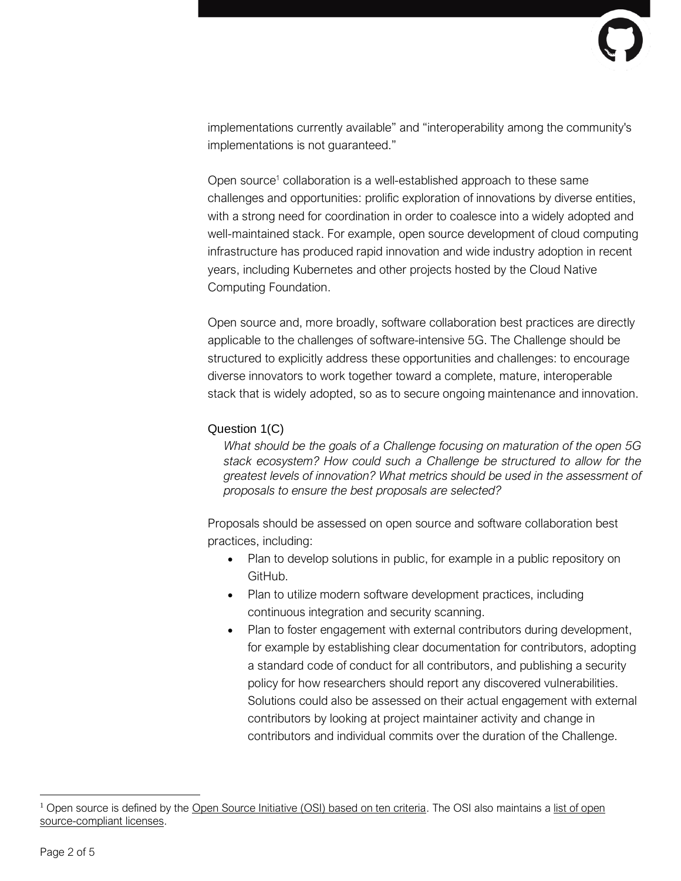implementations currently available" and "interoperability among the community's implementations is not guaranteed."

Open source<sup>1</sup> collaboration is a well-established approach to these same challenges and opportunities: prolific exploration of innovations by diverse entities, with a strong need for coordination in order to coalesce into a widely adopted and well-maintained stack. For example, open source development of cloud computing infrastructure has produced rapid innovation and wide industry adoption in recent years, including Kubernetes and other projects hosted by the Cloud Native Computing Foundation.

Open source and, more broadly, software collaboration best practices are directly applicable to the challenges of software-intensive 5G. The Challenge should be structured to explicitly address these opportunities and challenges: to encourage diverse innovators to work together toward a complete, mature, interoperable stack that is widely adopted, so as to secure ongoing maintenance and innovation.

## Question 1(C)

*What should be the goals of a Challenge focusing on maturation of the open 5G stack ecosystem? How could such a Challenge be structured to allow for the greatest levels of innovation? What metrics should be used in the assessment of proposals to ensure the best proposals are selected?*

Proposals should be assessed on open source and software collaboration best practices, including:

- Plan to develop solutions in public, for example in a public repository on GitHub.
- Plan to utilize modern software development practices, including continuous integration and security scanning.
- Plan to foster engagement with external contributors during development, for example by establishing clear documentation for contributors, adopting a standard code of conduct for all contributors, and publishing a security policy for how researchers should report any discovered vulnerabilities. Solutions could also be assessed on their actual engagement with external contributors by looking at project maintainer activity and change in contributors and individual commits over the duration of the Challenge.

<sup>&</sup>lt;sup>1</sup> Open source is defined by the [Open Source Initiative \(OSI\) based on ten criteria.](https://opensource.org/osd) The OSI also maintains a list of open [source-compliant licenses.](https://opensource.org/licenses)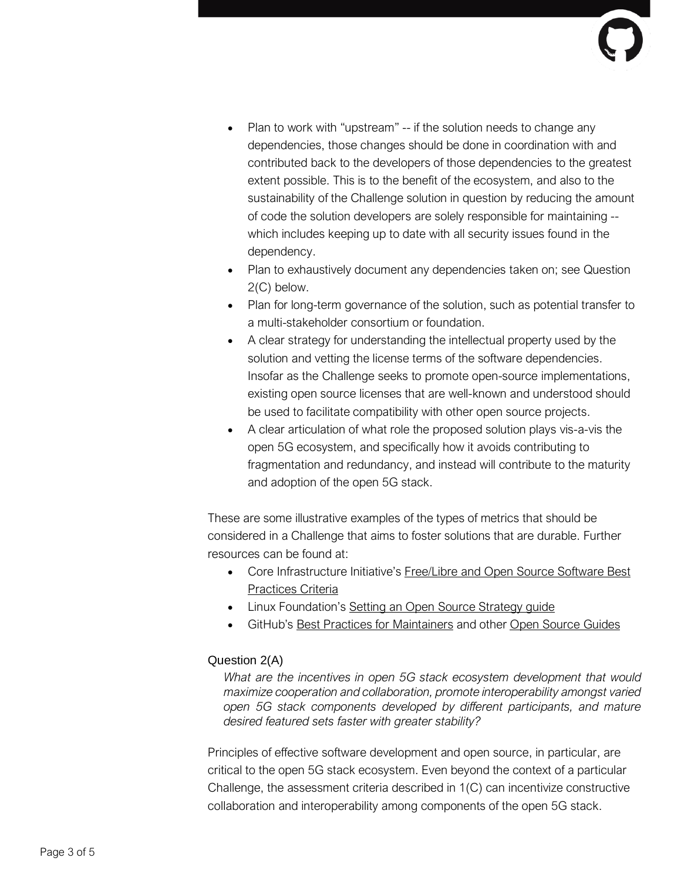- Plan to work with "upstream" -- if the solution needs to change any dependencies, those changes should be done in coordination with and contributed back to the developers of those dependencies to the greatest extent possible. This is to the benefit of the ecosystem, and also to the sustainability of the Challenge solution in question by reducing the amount of code the solution developers are solely responsible for maintaining - which includes keeping up to date with all security issues found in the dependency.
- Plan to exhaustively document any dependencies taken on; see Question 2(C) below.
- Plan for long-term governance of the solution, such as potential transfer to a multi-stakeholder consortium or foundation.
- A clear strategy for understanding the intellectual property used by the solution and vetting the license terms of the software dependencies. Insofar as the Challenge seeks to promote open-source implementations, existing open source licenses that are well-known and understood should be used to facilitate compatibility with other open source projects.
- A clear articulation of what role the proposed solution plays vis-a-vis the open 5G ecosystem, and specifically how it avoids contributing to fragmentation and redundancy, and instead will contribute to the maturity and adoption of the open 5G stack.

These are some illustrative examples of the types of metrics that should be considered in a Challenge that aims to foster solutions that are durable. Further resources can be found at:

- Core Infrastructure Initiative's [Free/Libre](https://bestpractices.coreinfrastructure.org/en/criteria/0) and Open Source Software Best [Practices](https://bestpractices.coreinfrastructure.org/en/criteria/0) Criteria
- Linux Foundation's Setting an Open Source [Strategy](https://www.linuxfoundation.org/resources/open-source-guides/setting-an-open-source-strategy/) quide
- GitHub's Best Practices for [Maintainers](https://opensource.guide/best-practices/) and other Open [Source](https://opensource.guide/) Guides

## Question 2(A)

*What are the incentives in open 5G stack ecosystem development that would maximize cooperation and collaboration, promote interoperability amongst varied open 5G stack components developed by different participants, and mature desired featured sets faster with greater stability?*

Principles of effective software development and open source, in particular, are critical to the open 5G stack ecosystem. Even beyond the context of a particular Challenge, the assessment criteria described in 1(C) can incentivize constructive collaboration and interoperability among components of the open 5G stack.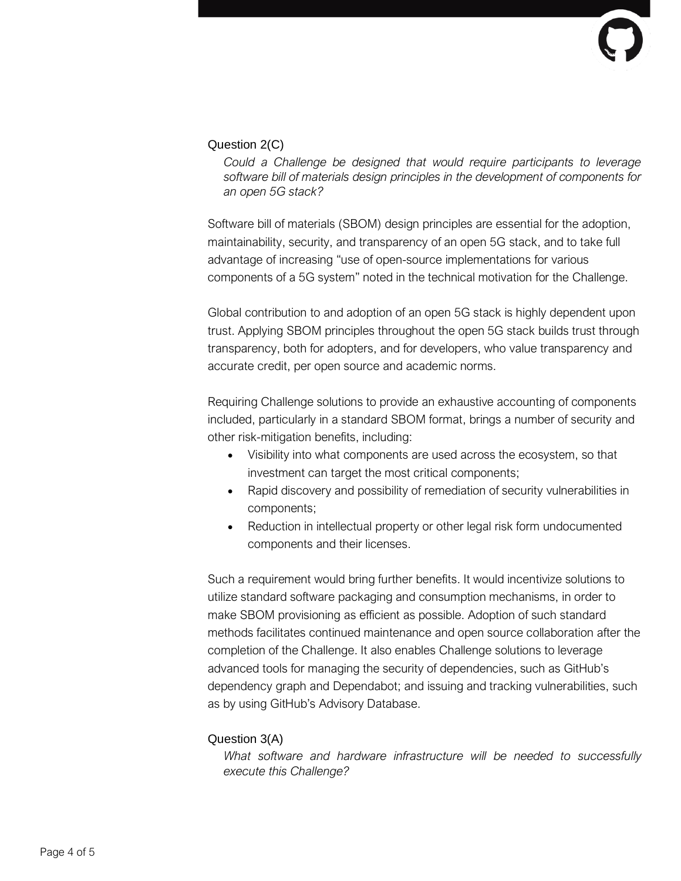## Question 2(C)

*Could a Challenge be designed that would require participants to leverage software bill of materials design principles in the development of components for an open 5G stack?*

Software bill of materials (SBOM) design principles are essential for the adoption, maintainability, security, and transparency of an open 5G stack, and to take full advantage of increasing "use of open-source implementations for various components of a 5G system" noted in the technical motivation for the Challenge.

Global contribution to and adoption of an open 5G stack is highly dependent upon trust. Applying SBOM principles throughout the open 5G stack builds trust through transparency, both for adopters, and for developers, who value transparency and accurate credit, per open source and academic norms.

Requiring Challenge solutions to provide an exhaustive accounting of components included, particularly in a standard SBOM format, brings a number of security and other risk-mitigation benefits, including:

- Visibility into what components are used across the ecosystem, so that investment can target the most critical components;
- Rapid discovery and possibility of remediation of security vulnerabilities in components;
- Reduction in intellectual property or other legal risk form undocumented components and their licenses.

Such a requirement would bring further benefits. It would incentivize solutions to utilize standard software packaging and consumption mechanisms, in order to make SBOM provisioning as efficient as possible. Adoption of such standard methods facilitates continued maintenance and open source collaboration after the completion of the Challenge. It also enables Challenge solutions to leverage advanced tools for managing the security of dependencies, such as GitHub's dependency graph and Dependabot; and issuing and tracking vulnerabilities, such as by using GitHub's Advisory Database.

#### Question 3(A)

*What software and hardware infrastructure will be needed to successfully execute this Challenge?*